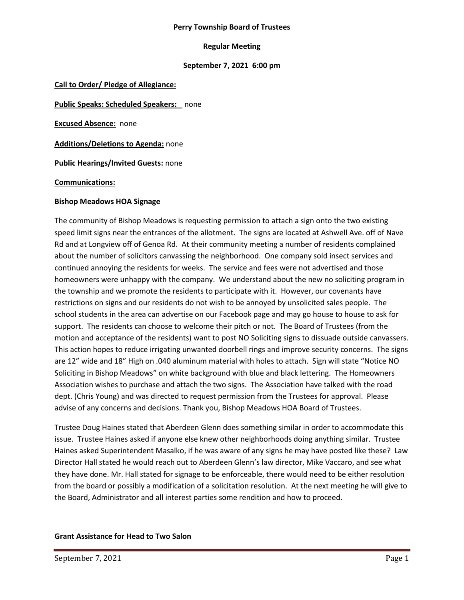#### **Perry Township Board of Trustees**

## **Regular Meeting**

## **September 7, 2021 6:00 pm**

**Call to Order/ Pledge of Allegiance:**

**Public Speaks: Scheduled Speakers:** none

**Excused Absence:** none

**Additions/Deletions to Agenda:** none

**Public Hearings/Invited Guests:** none

**Communications:**

#### **Bishop Meadows HOA Signage**

The community of Bishop Meadows is requesting permission to attach a sign onto the two existing speed limit signs near the entrances of the allotment. The signs are located at Ashwell Ave. off of Nave Rd and at Longview off of Genoa Rd. At their community meeting a number of residents complained about the number of solicitors canvassing the neighborhood. One company sold insect services and continued annoying the residents for weeks. The service and fees were not advertised and those homeowners were unhappy with the company. We understand about the new no soliciting program in the township and we promote the residents to participate with it. However, our covenants have restrictions on signs and our residents do not wish to be annoyed by unsolicited sales people. The school students in the area can advertise on our Facebook page and may go house to house to ask for support. The residents can choose to welcome their pitch or not. The Board of Trustees (from the motion and acceptance of the residents) want to post NO Soliciting signs to dissuade outside canvassers. This action hopes to reduce irrigating unwanted doorbell rings and improve security concerns. The signs are 12" wide and 18" High on .040 aluminum material with holes to attach. Sign will state "Notice NO Soliciting in Bishop Meadows" on white background with blue and black lettering. The Homeowners Association wishes to purchase and attach the two signs. The Association have talked with the road dept. (Chris Young) and was directed to request permission from the Trustees for approval. Please advise of any concerns and decisions. Thank you, Bishop Meadows HOA Board of Trustees.

Trustee Doug Haines stated that Aberdeen Glenn does something similar in order to accommodate this issue. Trustee Haines asked if anyone else knew other neighborhoods doing anything similar. Trustee Haines asked Superintendent Masalko, if he was aware of any signs he may have posted like these? Law Director Hall stated he would reach out to Aberdeen Glenn's law director, Mike Vaccaro, and see what they have done. Mr. Hall stated for signage to be enforceable, there would need to be either resolution from the board or possibly a modification of a solicitation resolution. At the next meeting he will give to the Board, Administrator and all interest parties some rendition and how to proceed.

## **Grant Assistance for Head to Two Salon**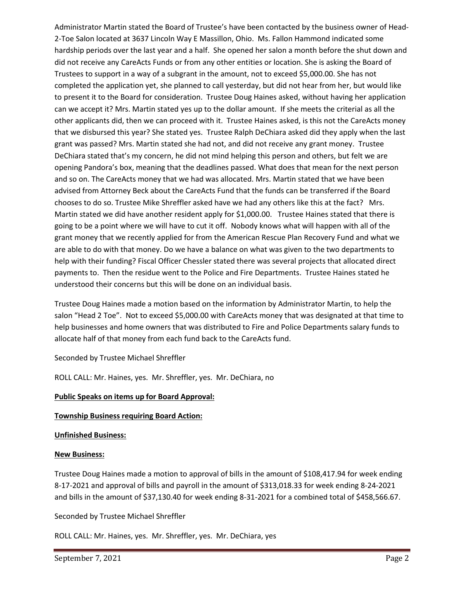Administrator Martin stated the Board of Trustee's have been contacted by the business owner of Head-2-Toe Salon located at 3637 Lincoln Way E Massillon, Ohio. Ms. Fallon Hammond indicated some hardship periods over the last year and a half. She opened her salon a month before the shut down and did not receive any CareActs Funds or from any other entities or location. She is asking the Board of Trustees to support in a way of a subgrant in the amount, not to exceed \$5,000.00. She has not completed the application yet, she planned to call yesterday, but did not hear from her, but would like to present it to the Board for consideration. Trustee Doug Haines asked, without having her application can we accept it? Mrs. Martin stated yes up to the dollar amount. If she meets the criterial as all the other applicants did, then we can proceed with it. Trustee Haines asked, is this not the CareActs money that we disbursed this year? She stated yes. Trustee Ralph DeChiara asked did they apply when the last grant was passed? Mrs. Martin stated she had not, and did not receive any grant money. Trustee DeChiara stated that's my concern, he did not mind helping this person and others, but felt we are opening Pandora's box, meaning that the deadlines passed. What does that mean for the next person and so on. The CareActs money that we had was allocated. Mrs. Martin stated that we have been advised from Attorney Beck about the CareActs Fund that the funds can be transferred if the Board chooses to do so. Trustee Mike Shreffler asked have we had any others like this at the fact? Mrs. Martin stated we did have another resident apply for \$1,000.00. Trustee Haines stated that there is going to be a point where we will have to cut it off. Nobody knows what will happen with all of the grant money that we recently applied for from the American Rescue Plan Recovery Fund and what we are able to do with that money. Do we have a balance on what was given to the two departments to help with their funding? Fiscal Officer Chessler stated there was several projects that allocated direct payments to. Then the residue went to the Police and Fire Departments. Trustee Haines stated he understood their concerns but this will be done on an individual basis.

Trustee Doug Haines made a motion based on the information by Administrator Martin, to help the salon "Head 2 Toe". Not to exceed \$5,000.00 with CareActs money that was designated at that time to help businesses and home owners that was distributed to Fire and Police Departments salary funds to allocate half of that money from each fund back to the CareActs fund.

## Seconded by Trustee Michael Shreffler

ROLL CALL: Mr. Haines, yes. Mr. Shreffler, yes. Mr. DeChiara, no

## **Public Speaks on items up for Board Approval:**

## **Township Business requiring Board Action:**

## **Unfinished Business:**

## **New Business:**

Trustee Doug Haines made a motion to approval of bills in the amount of \$108,417.94 for week ending 8-17-2021 and approval of bills and payroll in the amount of \$313,018.33 for week ending 8-24-2021 and bills in the amount of \$37,130.40 for week ending 8-31-2021 for a combined total of \$458,566.67.

Seconded by Trustee Michael Shreffler

ROLL CALL: Mr. Haines, yes. Mr. Shreffler, yes. Mr. DeChiara, yes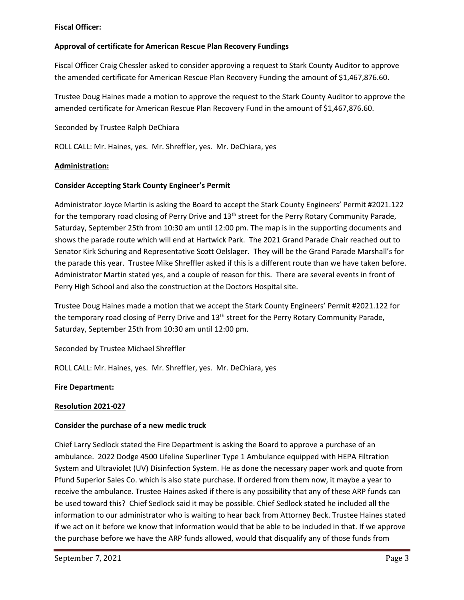## **Fiscal Officer:**

# **Approval of certificate for American Rescue Plan Recovery Fundings**

Fiscal Officer Craig Chessler asked to consider approving a request to Stark County Auditor to approve the amended certificate for American Rescue Plan Recovery Funding the amount of \$1,467,876.60.

Trustee Doug Haines made a motion to approve the request to the Stark County Auditor to approve the amended certificate for American Rescue Plan Recovery Fund in the amount of \$1,467,876.60.

Seconded by Trustee Ralph DeChiara

ROLL CALL: Mr. Haines, yes. Mr. Shreffler, yes. Mr. DeChiara, yes

#### **Administration:**

#### **Consider Accepting Stark County Engineer's Permit**

Administrator Joyce Martin is asking the Board to accept the Stark County Engineers' Permit #2021.122 for the temporary road closing of Perry Drive and 13<sup>th</sup> street for the Perry Rotary Community Parade, Saturday, September 25th from 10:30 am until 12:00 pm. The map is in the supporting documents and shows the parade route which will end at Hartwick Park. The 2021 Grand Parade Chair reached out to Senator Kirk Schuring and Representative Scott Oelslager. They will be the Grand Parade Marshall's for the parade this year. Trustee Mike Shreffler asked if this is a different route than we have taken before. Administrator Martin stated yes, and a couple of reason for this. There are several events in front of Perry High School and also the construction at the Doctors Hospital site.

Trustee Doug Haines made a motion that we accept the Stark County Engineers' Permit #2021.122 for the temporary road closing of Perry Drive and 13<sup>th</sup> street for the Perry Rotary Community Parade, Saturday, September 25th from 10:30 am until 12:00 pm.

## Seconded by Trustee Michael Shreffler

ROLL CALL: Mr. Haines, yes. Mr. Shreffler, yes. Mr. DeChiara, yes

#### **Fire Department:**

#### **Resolution 2021-027**

## **Consider the purchase of a new medic truck**

Chief Larry Sedlock stated the Fire Department is asking the Board to approve a purchase of an ambulance. 2022 Dodge 4500 Lifeline Superliner Type 1 Ambulance equipped with HEPA Filtration System and Ultraviolet (UV) Disinfection System. He as done the necessary paper work and quote from Pfund Superior Sales Co. which is also state purchase. If ordered from them now, it maybe a year to receive the ambulance. Trustee Haines asked if there is any possibility that any of these ARP funds can be used toward this? Chief Sedlock said it may be possible. Chief Sedlock stated he included all the information to our administrator who is waiting to hear back from Attorney Beck. Trustee Haines stated if we act on it before we know that information would that be able to be included in that. If we approve the purchase before we have the ARP funds allowed, would that disqualify any of those funds from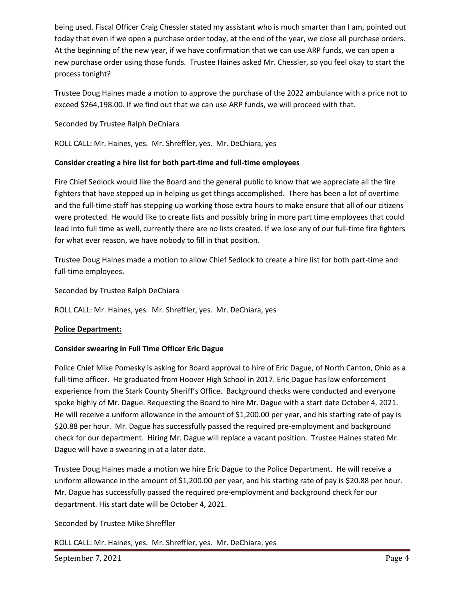being used. Fiscal Officer Craig Chessler stated my assistant who is much smarter than I am, pointed out today that even if we open a purchase order today, at the end of the year, we close all purchase orders. At the beginning of the new year, if we have confirmation that we can use ARP funds, we can open a new purchase order using those funds. Trustee Haines asked Mr. Chessler, so you feel okay to start the process tonight?

Trustee Doug Haines made a motion to approve the purchase of the 2022 ambulance with a price not to exceed \$264,198.00. If we find out that we can use ARP funds, we will proceed with that.

Seconded by Trustee Ralph DeChiara

ROLL CALL: Mr. Haines, yes. Mr. Shreffler, yes. Mr. DeChiara, yes

## **Consider creating a hire list for both part-time and full-time employees**

Fire Chief Sedlock would like the Board and the general public to know that we appreciate all the fire fighters that have stepped up in helping us get things accomplished. There has been a lot of overtime and the full-time staff has stepping up working those extra hours to make ensure that all of our citizens were protected. He would like to create lists and possibly bring in more part time employees that could lead into full time as well, currently there are no lists created. If we lose any of our full-time fire fighters for what ever reason, we have nobody to fill in that position.

Trustee Doug Haines made a motion to allow Chief Sedlock to create a hire list for both part-time and full-time employees.

Seconded by Trustee Ralph DeChiara

ROLL CALL: Mr. Haines, yes. Mr. Shreffler, yes. Mr. DeChiara, yes

# **Police Department:**

## **Consider swearing in Full Time Officer Eric Dague**

Police Chief Mike Pomesky is asking for Board approval to hire of Eric Dague, of North Canton, Ohio as a full-time officer. He graduated from Hoover High School in 2017. Eric Dague has law enforcement experience from the Stark County Sheriff's Office. Background checks were conducted and everyone spoke highly of Mr. Dague. Requesting the Board to hire Mr. Dague with a start date October 4, 2021. He will receive a uniform allowance in the amount of \$1,200.00 per year, and his starting rate of pay is \$20.88 per hour. Mr. Dague has successfully passed the required pre-employment and background check for our department. Hiring Mr. Dague will replace a vacant position. Trustee Haines stated Mr. Dague will have a swearing in at a later date.

Trustee Doug Haines made a motion we hire Eric Dague to the Police Department. He will receive a uniform allowance in the amount of \$1,200.00 per year, and his starting rate of pay is \$20.88 per hour. Mr. Dague has successfully passed the required pre-employment and background check for our department. His start date will be October 4, 2021.

Seconded by Trustee Mike Shreffler

ROLL CALL: Mr. Haines, yes. Mr. Shreffler, yes. Mr. DeChiara, yes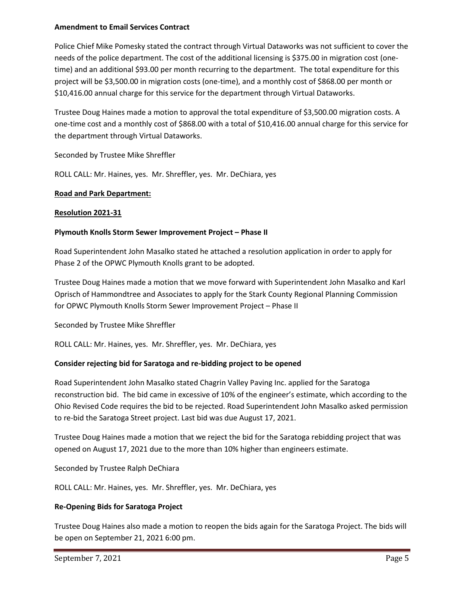#### **Amendment to Email Services Contract**

Police Chief Mike Pomesky stated the contract through Virtual Dataworks was not sufficient to cover the needs of the police department. The cost of the additional licensing is \$375.00 in migration cost (onetime) and an additional \$93.00 per month recurring to the department. The total expenditure for this project will be \$3,500.00 in migration costs (one-time), and a monthly cost of \$868.00 per month or \$10,416.00 annual charge for this service for the department through Virtual Dataworks.

Trustee Doug Haines made a motion to approval the total expenditure of \$3,500.00 migration costs. A one-time cost and a monthly cost of \$868.00 with a total of \$10,416.00 annual charge for this service for the department through Virtual Dataworks.

Seconded by Trustee Mike Shreffler

ROLL CALL: Mr. Haines, yes. Mr. Shreffler, yes. Mr. DeChiara, yes

## **Road and Park Department:**

## **Resolution 2021-31**

## **Plymouth Knolls Storm Sewer Improvement Project – Phase II**

Road Superintendent John Masalko stated he attached a resolution application in order to apply for Phase 2 of the OPWC Plymouth Knolls grant to be adopted.

Trustee Doug Haines made a motion that we move forward with Superintendent John Masalko and Karl Oprisch of Hammondtree and Associates to apply for the Stark County Regional Planning Commission for OPWC Plymouth Knolls Storm Sewer Improvement Project – Phase II

Seconded by Trustee Mike Shreffler

ROLL CALL: Mr. Haines, yes. Mr. Shreffler, yes. Mr. DeChiara, yes

# **Consider rejecting bid for Saratoga and re-bidding project to be opened**

Road Superintendent John Masalko stated Chagrin Valley Paving Inc. applied for the Saratoga reconstruction bid. The bid came in excessive of 10% of the engineer's estimate, which according to the Ohio Revised Code requires the bid to be rejected. Road Superintendent John Masalko asked permission to re-bid the Saratoga Street project. Last bid was due August 17, 2021.

Trustee Doug Haines made a motion that we reject the bid for the Saratoga rebidding project that was opened on August 17, 2021 due to the more than 10% higher than engineers estimate.

Seconded by Trustee Ralph DeChiara

ROLL CALL: Mr. Haines, yes. Mr. Shreffler, yes. Mr. DeChiara, yes

## **Re-Opening Bids for Saratoga Project**

Trustee Doug Haines also made a motion to reopen the bids again for the Saratoga Project. The bids will be open on September 21, 2021 6:00 pm.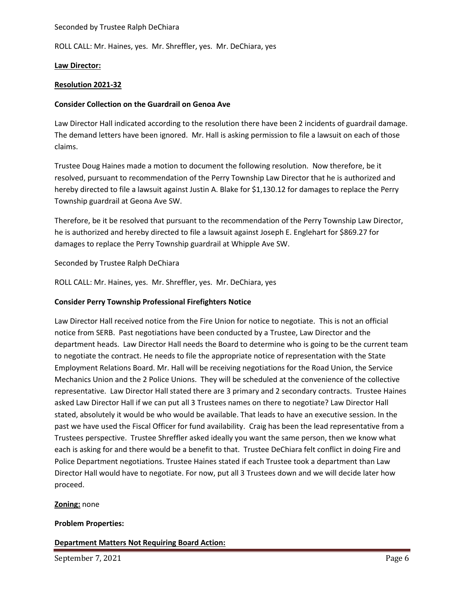#### Seconded by Trustee Ralph DeChiara

ROLL CALL: Mr. Haines, yes. Mr. Shreffler, yes. Mr. DeChiara, yes

## **Law Director:**

#### **Resolution 2021-32**

#### **Consider Collection on the Guardrail on Genoa Ave**

Law Director Hall indicated according to the resolution there have been 2 incidents of guardrail damage. The demand letters have been ignored. Mr. Hall is asking permission to file a lawsuit on each of those claims.

Trustee Doug Haines made a motion to document the following resolution. Now therefore, be it resolved, pursuant to recommendation of the Perry Township Law Director that he is authorized and hereby directed to file a lawsuit against Justin A. Blake for \$1,130.12 for damages to replace the Perry Township guardrail at Geona Ave SW.

Therefore, be it be resolved that pursuant to the recommendation of the Perry Township Law Director, he is authorized and hereby directed to file a lawsuit against Joseph E. Englehart for \$869.27 for damages to replace the Perry Township guardrail at Whipple Ave SW.

#### Seconded by Trustee Ralph DeChiara

ROLL CALL: Mr. Haines, yes. Mr. Shreffler, yes. Mr. DeChiara, yes

#### **Consider Perry Township Professional Firefighters Notice**

Law Director Hall received notice from the Fire Union for notice to negotiate. This is not an official notice from SERB. Past negotiations have been conducted by a Trustee, Law Director and the department heads. Law Director Hall needs the Board to determine who is going to be the current team to negotiate the contract. He needs to file the appropriate notice of representation with the State Employment Relations Board. Mr. Hall will be receiving negotiations for the Road Union, the Service Mechanics Union and the 2 Police Unions. They will be scheduled at the convenience of the collective representative. Law Director Hall stated there are 3 primary and 2 secondary contracts. Trustee Haines asked Law Director Hall if we can put all 3 Trustees names on there to negotiate? Law Director Hall stated, absolutely it would be who would be available. That leads to have an executive session. In the past we have used the Fiscal Officer for fund availability. Craig has been the lead representative from a Trustees perspective. Trustee Shreffler asked ideally you want the same person, then we know what each is asking for and there would be a benefit to that. Trustee DeChiara felt conflict in doing Fire and Police Department negotiations. Trustee Haines stated if each Trustee took a department than Law Director Hall would have to negotiate. For now, put all 3 Trustees down and we will decide later how proceed.

## **Zoning:** none

#### **Problem Properties:**

**Department Matters Not Requiring Board Action:**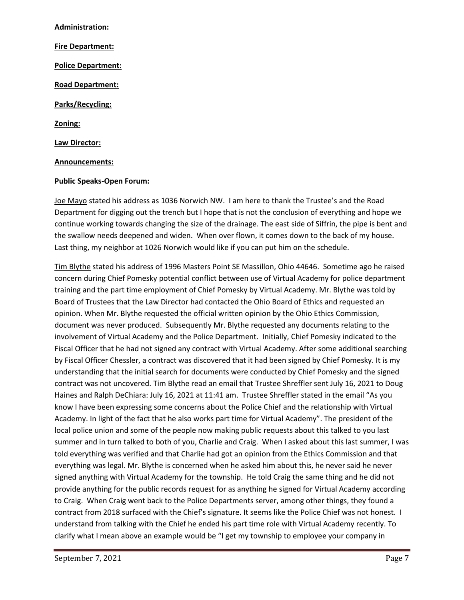**Administration: Fire Department: Police Department: Road Department: Parks/Recycling: Zoning: Law Director: Announcements:**

#### **Public Speaks-Open Forum:**

Joe Mayo stated his address as 1036 Norwich NW. I am here to thank the Trustee's and the Road Department for digging out the trench but I hope that is not the conclusion of everything and hope we continue working towards changing the size of the drainage. The east side of Siffrin, the pipe is bent and the swallow needs deepened and widen. When over flown, it comes down to the back of my house. Last thing, my neighbor at 1026 Norwich would like if you can put him on the schedule.

Tim Blythe stated his address of 1996 Masters Point SE Massillon, Ohio 44646. Sometime ago he raised concern during Chief Pomesky potential conflict between use of Virtual Academy for police department training and the part time employment of Chief Pomesky by Virtual Academy. Mr. Blythe was told by Board of Trustees that the Law Director had contacted the Ohio Board of Ethics and requested an opinion. When Mr. Blythe requested the official written opinion by the Ohio Ethics Commission, document was never produced. Subsequently Mr. Blythe requested any documents relating to the involvement of Virtual Academy and the Police Department. Initially, Chief Pomesky indicated to the Fiscal Officer that he had not signed any contract with Virtual Academy. After some additional searching by Fiscal Officer Chessler, a contract was discovered that it had been signed by Chief Pomesky. It is my understanding that the initial search for documents were conducted by Chief Pomesky and the signed contract was not uncovered. Tim Blythe read an email that Trustee Shreffler sent July 16, 2021 to Doug Haines and Ralph DeChiara: July 16, 2021 at 11:41 am. Trustee Shreffler stated in the email "As you know I have been expressing some concerns about the Police Chief and the relationship with Virtual Academy. In light of the fact that he also works part time for Virtual Academy". The president of the local police union and some of the people now making public requests about this talked to you last summer and in turn talked to both of you, Charlie and Craig. When I asked about this last summer, I was told everything was verified and that Charlie had got an opinion from the Ethics Commission and that everything was legal. Mr. Blythe is concerned when he asked him about this, he never said he never signed anything with Virtual Academy for the township. He told Craig the same thing and he did not provide anything for the public records request for as anything he signed for Virtual Academy according to Craig. When Craig went back to the Police Departments server, among other things, they found a contract from 2018 surfaced with the Chief's signature. It seems like the Police Chief was not honest. I understand from talking with the Chief he ended his part time role with Virtual Academy recently. To clarify what I mean above an example would be "I get my township to employee your company in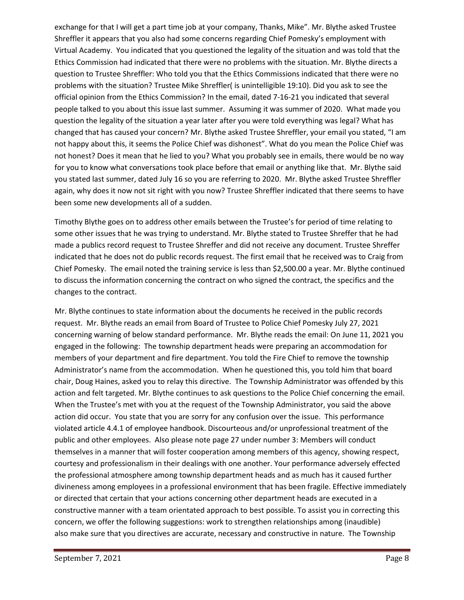exchange for that I will get a part time job at your company, Thanks, Mike". Mr. Blythe asked Trustee Shreffler it appears that you also had some concerns regarding Chief Pomesky's employment with Virtual Academy. You indicated that you questioned the legality of the situation and was told that the Ethics Commission had indicated that there were no problems with the situation. Mr. Blythe directs a question to Trustee Shreffler: Who told you that the Ethics Commissions indicated that there were no problems with the situation? Trustee Mike Shreffler( is unintelligible 19:10). Did you ask to see the official opinion from the Ethics Commission? In the email, dated 7-16-21 you indicated that several people talked to you about this issue last summer. Assuming it was summer of 2020. What made you question the legality of the situation a year later after you were told everything was legal? What has changed that has caused your concern? Mr. Blythe asked Trustee Shreffler, your email you stated, "I am not happy about this, it seems the Police Chief was dishonest". What do you mean the Police Chief was not honest? Does it mean that he lied to you? What you probably see in emails, there would be no way for you to know what conversations took place before that email or anything like that. Mr. Blythe said you stated last summer, dated July 16 so you are referring to 2020. Mr. Blythe asked Trustee Shreffler again, why does it now not sit right with you now? Trustee Shreffler indicated that there seems to have been some new developments all of a sudden.

Timothy Blythe goes on to address other emails between the Trustee's for period of time relating to some other issues that he was trying to understand. Mr. Blythe stated to Trustee Shreffer that he had made a publics record request to Trustee Shreffer and did not receive any document. Trustee Shreffer indicated that he does not do public records request. The first email that he received was to Craig from Chief Pomesky. The email noted the training service is less than \$2,500.00 a year. Mr. Blythe continued to discuss the information concerning the contract on who signed the contract, the specifics and the changes to the contract.

Mr. Blythe continues to state information about the documents he received in the public records request. Mr. Blythe reads an email from Board of Trustee to Police Chief Pomesky July 27, 2021 concerning warning of below standard performance. Mr. Blythe reads the email: On June 11, 2021 you engaged in the following: The township department heads were preparing an accommodation for members of your department and fire department. You told the Fire Chief to remove the township Administrator's name from the accommodation. When he questioned this, you told him that board chair, Doug Haines, asked you to relay this directive. The Township Administrator was offended by this action and felt targeted. Mr. Blythe continues to ask questions to the Police Chief concerning the email. When the Trustee's met with you at the request of the Township Administrator, you said the above action did occur. You state that you are sorry for any confusion over the issue. This performance violated article 4.4.1 of employee handbook. Discourteous and/or unprofessional treatment of the public and other employees. Also please note page 27 under number 3: Members will conduct themselves in a manner that will foster cooperation among members of this agency, showing respect, courtesy and professionalism in their dealings with one another. Your performance adversely effected the professional atmosphere among township department heads and as much has it caused further divineness among employees in a professional environment that has been fragile. Effective immediately or directed that certain that your actions concerning other department heads are executed in a constructive manner with a team orientated approach to best possible. To assist you in correcting this concern, we offer the following suggestions: work to strengthen relationships among (inaudible) also make sure that you directives are accurate, necessary and constructive in nature. The Township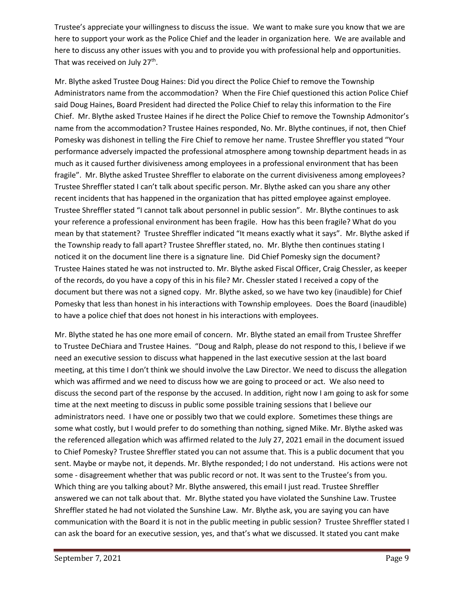Trustee's appreciate your willingness to discuss the issue. We want to make sure you know that we are here to support your work as the Police Chief and the leader in organization here. We are available and here to discuss any other issues with you and to provide you with professional help and opportunities. That was received on July 27<sup>th</sup>.

Mr. Blythe asked Trustee Doug Haines: Did you direct the Police Chief to remove the Township Administrators name from the accommodation? When the Fire Chief questioned this action Police Chief said Doug Haines, Board President had directed the Police Chief to relay this information to the Fire Chief. Mr. Blythe asked Trustee Haines if he direct the Police Chief to remove the Township Admonitor's name from the accommodation? Trustee Haines responded, No. Mr. Blythe continues, if not, then Chief Pomesky was dishonest in telling the Fire Chief to remove her name. Trustee Shreffler you stated "Your performance adversely impacted the professional atmosphere among township department heads in as much as it caused further divisiveness among employees in a professional environment that has been fragile". Mr. Blythe asked Trustee Shreffler to elaborate on the current divisiveness among employees? Trustee Shreffler stated I can't talk about specific person. Mr. Blythe asked can you share any other recent incidents that has happened in the organization that has pitted employee against employee. Trustee Shreffler stated "I cannot talk about personnel in public session". Mr. Blythe continues to ask your reference a professional environment has been fragile. How has this been fragile? What do you mean by that statement? Trustee Shreffler indicated "It means exactly what it says". Mr. Blythe asked if the Township ready to fall apart? Trustee Shreffler stated, no. Mr. Blythe then continues stating I noticed it on the document line there is a signature line. Did Chief Pomesky sign the document? Trustee Haines stated he was not instructed to. Mr. Blythe asked Fiscal Officer, Craig Chessler, as keeper of the records, do you have a copy of this in his file? Mr. Chessler stated I received a copy of the document but there was not a signed copy. Mr. Blythe asked, so we have two key (inaudible) for Chief Pomesky that less than honest in his interactions with Township employees. Does the Board (inaudible) to have a police chief that does not honest in his interactions with employees.

Mr. Blythe stated he has one more email of concern. Mr. Blythe stated an email from Trustee Shreffer to Trustee DeChiara and Trustee Haines. "Doug and Ralph, please do not respond to this, I believe if we need an executive session to discuss what happened in the last executive session at the last board meeting, at this time I don't think we should involve the Law Director. We need to discuss the allegation which was affirmed and we need to discuss how we are going to proceed or act. We also need to discuss the second part of the response by the accused. In addition, right now I am going to ask for some time at the next meeting to discuss in public some possible training sessions that I believe our administrators need. I have one or possibly two that we could explore. Sometimes these things are some what costly, but I would prefer to do something than nothing, signed Mike. Mr. Blythe asked was the referenced allegation which was affirmed related to the July 27, 2021 email in the document issued to Chief Pomesky? Trustee Shreffler stated you can not assume that. This is a public document that you sent. Maybe or maybe not, it depends. Mr. Blythe responded; I do not understand. His actions were not some - disagreement whether that was public record or not. It was sent to the Trustee's from you. Which thing are you talking about? Mr. Blythe answered, this email I just read. Trustee Shreffler answered we can not talk about that. Mr. Blythe stated you have violated the Sunshine Law. Trustee Shreffler stated he had not violated the Sunshine Law. Mr. Blythe ask, you are saying you can have communication with the Board it is not in the public meeting in public session? Trustee Shreffler stated I can ask the board for an executive session, yes, and that's what we discussed. It stated you cant make